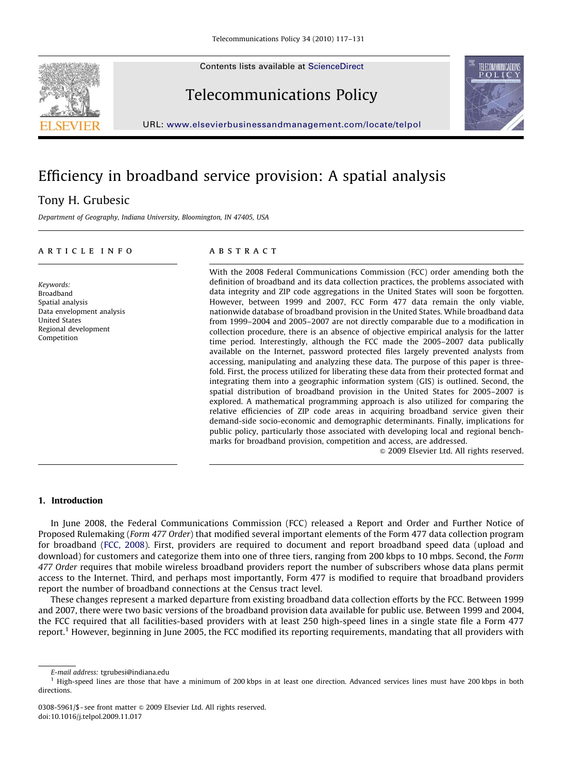Contents lists available at ScienceDirect





Telecommunications Policy

URL: <www.elsevierbusinessandmanagement.com/locate/telpol>

# Efficiency in broadband service provision: A spatial analysis

## Tony H. Grubesic

Department of Geography, Indiana University, Bloomington, IN 47405, USA

#### article info

Keywords: Broadband Spatial analysis Data envelopment analysis United States Regional development Competition

#### **ABSTRACT**

With the 2008 Federal Communications Commission (FCC) order amending both the definition of broadband and its data collection practices, the problems associated with data integrity and ZIP code aggregations in the United States will soon be forgotten. However, between 1999 and 2007, FCC Form 477 data remain the only viable, nationwide database of broadband provision in the United States. While broadband data from 1999–2004 and 2005–2007 are not directly comparable due to a modification in collection procedure, there is an absence of objective empirical analysis for the latter time period. Interestingly, although the FCC made the 2005–2007 data publically available on the Internet, password protected files largely prevented analysts from accessing, manipulating and analyzing these data. The purpose of this paper is threefold. First, the process utilized for liberating these data from their protected format and integrating them into a geographic information system (GIS) is outlined. Second, the spatial distribution of broadband provision in the United States for 2005–2007 is explored. A mathematical programming approach is also utilized for comparing the relative efficiencies of ZIP code areas in acquiring broadband service given their demand-side socio-economic and demographic determinants. Finally, implications for public policy, particularly those associated with developing local and regional benchmarks for broadband provision, competition and access, are addressed.

 $\odot$  2009 Elsevier Ltd. All rights reserved.

### 1. Introduction

In June 2008, the Federal Communications Commission (FCC) released a Report and Order and Further Notice of Proposed Rulemaking (Form 477 Order) that modified several important elements of the Form 477 data collection program for broadband ([FCC, 2008](#page--1-0)). First, providers are required to document and report broadband speed data (upload and download) for customers and categorize them into one of three tiers, ranging from 200 kbps to 10 mbps. Second, the Form 477 Order requires that mobile wireless broadband providers report the number of subscribers whose data plans permit access to the Internet. Third, and perhaps most importantly, Form 477 is modified to require that broadband providers report the number of broadband connections at the Census tract level.

These changes represent a marked departure from existing broadband data collection efforts by the FCC. Between 1999 and 2007, there were two basic versions of the broadband provision data available for public use. Between 1999 and 2004, the FCC required that all facilities-based providers with at least 250 high-speed lines in a single state file a Form 477 report.1 However, beginning in June 2005, the FCC modified its reporting requirements, mandating that all providers with

E-mail address: [tgrubesi@indiana.edu](mailto:tgrubesi@indiana.edu)

<sup>&</sup>lt;sup>1</sup> High-speed lines are those that have a minimum of 200 kbps in at least one direction. Advanced services lines must have 200 kbps in both directions.

<sup>0308-5961/\$ -</sup> see front matter  $\circ$  2009 Elsevier Ltd. All rights reserved. doi:[10.1016/j.telpol.2009.11.017](dx.doi.org/10.1016/j.telpol.2009.11.017)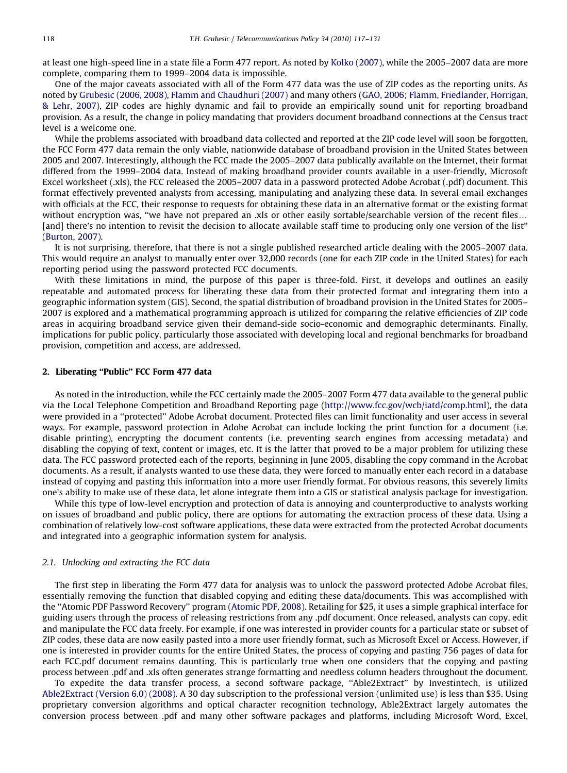at least one high-speed line in a state file a Form 477 report. As noted by [Kolko \(2007\)](#page--1-0), while the 2005–2007 data are more complete, comparing them to 1999–2004 data is impossible.

One of the major caveats associated with all of the Form 477 data was the use of ZIP codes as the reporting units. As noted by [Grubesic \(2006, 2008\)](#page--1-0), [Flamm and Chaudhuri \(2007\)](#page--1-0) and many others ([GAO, 2006](#page--1-0); [Flamm, Friedlander, Horrigan,](#page--1-0) & [Lehr, 2007\)](#page--1-0), ZIP codes are highly dynamic and fail to provide an empirically sound unit for reporting broadband provision. As a result, the change in policy mandating that providers document broadband connections at the Census tract level is a welcome one.

While the problems associated with broadband data collected and reported at the ZIP code level will soon be forgotten, the FCC Form 477 data remain the only viable, nationwide database of broadband provision in the United States between 2005 and 2007. Interestingly, although the FCC made the 2005–2007 data publically available on the Internet, their format differed from the 1999–2004 data. Instead of making broadband provider counts available in a user-friendly, Microsoft Excel worksheet (.xls), the FCC released the 2005–2007 data in a password protected Adobe Acrobat (.pdf) document. This format effectively prevented analysts from accessing, manipulating and analyzing these data. In several email exchanges with officials at the FCC, their response to requests for obtaining these data in an alternative format or the existing format without encryption was, "we have not prepared an .xls or other easily sortable/searchable version of the recent files... [and] there's no intention to revisit the decision to allocate available staff time to producing only one version of the list'' ([Burton, 2007\)](#page--1-0).

It is not surprising, therefore, that there is not a single published researched article dealing with the 2005–2007 data. This would require an analyst to manually enter over 32,000 records (one for each ZIP code in the United States) for each reporting period using the password protected FCC documents.

With these limitations in mind, the purpose of this paper is three-fold. First, it develops and outlines an easily repeatable and automated process for liberating these data from their protected format and integrating them into a geographic information system (GIS). Second, the spatial distribution of broadband provision in the United States for 2005– 2007 is explored and a mathematical programming approach is utilized for comparing the relative efficiencies of ZIP code areas in acquiring broadband service given their demand-side socio-economic and demographic determinants. Finally, implications for public policy, particularly those associated with developing local and regional benchmarks for broadband provision, competition and access, are addressed.

#### 2. Liberating "Public" FCC Form 477 data

As noted in the introduction, while the FCC certainly made the 2005–2007 Form 477 data available to the general public via the Local Telephone Competition and Broadband Reporting page ([http://www.fcc.gov/wcb/iatd/comp.html](http://www.fcc.gov/wcb/iatd/comp.html<!--/ti-->)), the data were provided in a ''protected'' Adobe Acrobat document. Protected files can limit functionality and user access in several ways. For example, password protection in Adobe Acrobat can include locking the print function for a document (i.e. disable printing), encrypting the document contents (i.e. preventing search engines from accessing metadata) and disabling the copying of text, content or images, etc. It is the latter that proved to be a major problem for utilizing these data. The FCC password protected each of the reports, beginning in June 2005, disabling the copy command in the Acrobat documents. As a result, if analysts wanted to use these data, they were forced to manually enter each record in a database instead of copying and pasting this information into a more user friendly format. For obvious reasons, this severely limits one's ability to make use of these data, let alone integrate them into a GIS or statistical analysis package for investigation.

While this type of low-level encryption and protection of data is annoying and counterproductive to analysts working on issues of broadband and public policy, there are options for automating the extraction process of these data. Using a combination of relatively low-cost software applications, these data were extracted from the protected Acrobat documents and integrated into a geographic information system for analysis.

### 2.1. Unlocking and extracting the FCC data

The first step in liberating the Form 477 data for analysis was to unlock the password protected Adobe Acrobat files, essentially removing the function that disabled copying and editing these data/documents. This was accomplished with the ''Atomic PDF Password Recovery'' program [\(Atomic PDF, 2008](#page--1-0)). Retailing for \$25, it uses a simple graphical interface for guiding users through the process of releasing restrictions from any .pdf document. Once released, analysts can copy, edit and manipulate the FCC data freely. For example, if one was interested in provider counts for a particular state or subset of ZIP codes, these data are now easily pasted into a more user friendly format, such as Microsoft Excel or Access. However, if one is interested in provider counts for the entire United States, the process of copying and pasting 756 pages of data for each FCC.pdf document remains daunting. This is particularly true when one considers that the copying and pasting process between .pdf and .xls often generates strange formatting and needless column headers throughout the document.

To expedite the data transfer process, a second software package, ''Able2Extract'' by Investintech, is utilized [Able2Extract \(Version 6.0\) \(2008\).](#page--1-0) A 30 day subscription to the professional version (unlimited use) is less than \$35. Using proprietary conversion algorithms and optical character recognition technology, Able2Extract largely automates the conversion process between .pdf and many other software packages and platforms, including Microsoft Word, Excel,